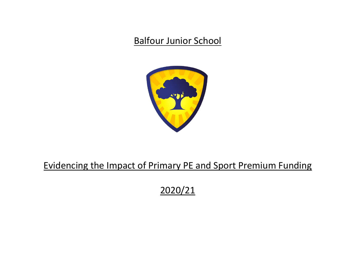## Balfour Junior School



## Evidencing the Impact of Primary PE and Sport Premium Funding

2020/21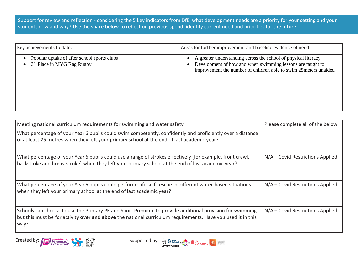Support for review and reflection - considering the 5 key indicators from DfE, what development needs are a priority for your setting and your students now and why? Use the space below to reflect on previous spend, identify current need and priorities for the future.

| Key achievements to date:                                                             | Areas for further improvement and baseline evidence of need:                                                                                                                                                                |
|---------------------------------------------------------------------------------------|-----------------------------------------------------------------------------------------------------------------------------------------------------------------------------------------------------------------------------|
| Popular uptake of after school sports clubs<br>3 <sup>rd</sup> Place in MYG Rag Rugby | A greater understanding across the school of physical literacy<br>$\bullet$<br>Development of how and when swimming lessons are taught to<br>$\bullet$<br>improvement the number of children able to swim 25 meters unaided |

| Meeting national curriculum requirements for swimming and water safety                                                                                                                                                         | Please complete all of the below:  |
|--------------------------------------------------------------------------------------------------------------------------------------------------------------------------------------------------------------------------------|------------------------------------|
| What percentage of your Year 6 pupils could swim competently, confidently and proficiently over a distance<br>of at least 25 metres when they left your primary school at the end of last academic year?                       |                                    |
| What percentage of your Year 6 pupils could use a range of strokes effectively [for example, front crawl,<br>backstroke and breaststroke] when they left your primary school at the end of last academic year?                 | N/A - Covid Restrictions Applied   |
| What percentage of your Year 6 pupils could perform safe self-rescue in different water-based situations<br>when they left your primary school at the end of last academic year?                                               | $N/A$ – Covid Restrictions Applied |
| Schools can choose to use the Primary PE and Sport Premium to provide additional provision for swimming<br>but this must be for activity over and above the national curriculum requirements. Have you used it in this<br>way? | $N/A$ – Covid Restrictions Applied |



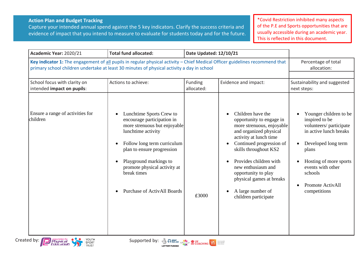## **Action Plan and Budget Tracking**

Capture your intended annual spend against the 5 key indicators. Clarify the success criteria and evidence of impact that you intend to measure to evaluate for students today and for the future. \*Covid Restriction inhibited many aspects of the P.E and Sports opportunities that are usually accessible during an academic year. This is reflected in this document.

| Academic Year: 2020/21                                                                                                                                                                                                     | <b>Total fund allocated:</b>                                                                                                                                                                                                                                                                                                    | Date Updated: 12/10/21 |                                                                                                                                                                                                                                                                                                                                                                            |                                                                                                                                                                                                                                                      |
|----------------------------------------------------------------------------------------------------------------------------------------------------------------------------------------------------------------------------|---------------------------------------------------------------------------------------------------------------------------------------------------------------------------------------------------------------------------------------------------------------------------------------------------------------------------------|------------------------|----------------------------------------------------------------------------------------------------------------------------------------------------------------------------------------------------------------------------------------------------------------------------------------------------------------------------------------------------------------------------|------------------------------------------------------------------------------------------------------------------------------------------------------------------------------------------------------------------------------------------------------|
| Key indicator 1: The engagement of all pupils in regular physical activity - Chief Medical Officer guidelines recommend that<br>primary school children undertake at least 30 minutes of physical activity a day in school | Percentage of total<br>allocation:                                                                                                                                                                                                                                                                                              |                        |                                                                                                                                                                                                                                                                                                                                                                            |                                                                                                                                                                                                                                                      |
| School focus with clarity on<br>intended impact on pupils:                                                                                                                                                                 | Actions to achieve:                                                                                                                                                                                                                                                                                                             | Funding<br>allocated:  | Evidence and impact:                                                                                                                                                                                                                                                                                                                                                       | Sustainability and suggested<br>next steps:                                                                                                                                                                                                          |
| Ensure a range of activities for<br>children                                                                                                                                                                               | Lunchtime Sports Crew to<br>$\bullet$<br>encourage participation in<br>more strenuous but enjoyable<br>lunchtime activity<br>Follow long term curriculum<br>plan to ensure progression<br>Playground markings to<br>$\bullet$<br>promote physical activity at<br>break times<br><b>Purchase of ActivAll Boards</b><br>$\bullet$ | £3000                  | Children have the<br>$\bullet$<br>opportunity to engage in<br>more strenuous, enjoyable<br>and organized physical<br>activity at lunch time<br>Continued progression of<br>$\bullet$<br>skills throughout KS2<br>Provides children with<br>$\bullet$<br>new enthusiasm and<br>opportunity to play<br>physical games at breaks<br>A large number of<br>children participate | Younger children to be<br>inspired to be<br>volunteers/participate<br>in active lunch breaks<br>Developed long term<br>$\bullet$<br>plans<br>Hosting of more sports<br>events with other<br>schools<br>Promote ActivAll<br>$\bullet$<br>competitions |



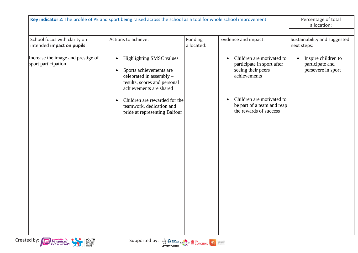| Key indicator 2: The profile of PE and sport being raised across the school as a tool for whole school improvement | Percentage of total<br>allocation:                                                                                                                                                                                                                                              |                       |                                                                                                                                                                                                 |                                                                           |
|--------------------------------------------------------------------------------------------------------------------|---------------------------------------------------------------------------------------------------------------------------------------------------------------------------------------------------------------------------------------------------------------------------------|-----------------------|-------------------------------------------------------------------------------------------------------------------------------------------------------------------------------------------------|---------------------------------------------------------------------------|
| School focus with clarity on<br>intended impact on pupils:                                                         | Actions to achieve:                                                                                                                                                                                                                                                             | Funding<br>allocated: | Evidence and impact:                                                                                                                                                                            | Sustainability and suggested<br>next steps:                               |
| Increase the image and prestige of<br>sport participation                                                          | Highlighting SMSC values<br>$\bullet$<br>Sports achievements are<br>$\bullet$<br>celebrated in assembly -<br>results, scores and personal<br>achievements are shared<br>Children are rewarded for the<br>$\bullet$<br>teamwork, dedication and<br>pride at representing Balfour |                       | Children are motivated to<br>participate in sport after<br>seeing their peers<br>achievements<br>Children are motivated to<br>$\bullet$<br>be part of a team and reap<br>the rewards of success | Inspire children to<br>$\bullet$<br>participate and<br>persevere in sport |
|                                                                                                                    |                                                                                                                                                                                                                                                                                 |                       |                                                                                                                                                                                                 |                                                                           |

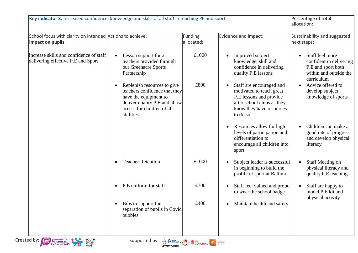| School focus with clarity on intended Actions to achieve:<br>impact on pupils: |                                                                                                                                                                                | <b>Funding</b><br>allocated: | Evidence and impact:                                                                                                                                  | Sustainability and suggested<br>next steps:                                                                           |
|--------------------------------------------------------------------------------|--------------------------------------------------------------------------------------------------------------------------------------------------------------------------------|------------------------------|-------------------------------------------------------------------------------------------------------------------------------------------------------|-----------------------------------------------------------------------------------------------------------------------|
| Increase skills and confidence of staff<br>delivering effective P.E and Sport  | Lesson support for 2<br>$\bullet$<br>teachers provided through<br>our Greenacre Sports<br>Partnership                                                                          | £1000                        | Improved subject<br>knowledge, skill and<br>confidence in delivering<br>quality P.E lessons                                                           | Staff feel more<br>$\bullet$<br>confident in delivering<br>P.E and sport both<br>within and outside the<br>curriculum |
|                                                                                | Replenish resources to give<br>$\bullet$<br>teachers confidence that they<br>have the equipment to<br>deliver quality P.E and allow<br>access for children of all<br>abilities | £800                         | Staff are encouraged and<br>motivated to teach great<br>P.E lessons and provide<br>after school clubs as they<br>know they have resources<br>to do so | Advice offered to<br>$\bullet$<br>develop subject<br>knowledge of sports                                              |
|                                                                                |                                                                                                                                                                                |                              | Resources allow for high<br>levels of participation and<br>differentiation to<br>encourage all children into<br>sport                                 | Children can make a<br>good rate of progress<br>and develop physical<br>literacy                                      |
|                                                                                | <b>Teacher Retention</b><br>$\bullet$                                                                                                                                          | £1000                        | Subject leader is successful<br>in beginning to build the<br>profile of sport at Balfour                                                              | <b>Staff Meeting on</b><br>$\bullet$<br>physical literacy and<br>quality P.E teaching                                 |
|                                                                                | P.E uniform for staff                                                                                                                                                          | £700                         | Staff feel valued and proud<br>to wear the school badge                                                                                               | Staff are happy to<br>$\bullet$<br>model P.E kit and<br>physical activity                                             |
|                                                                                | Bibs to support the<br>$\bullet$<br>separation of pupils in Covid<br>bubbles                                                                                                   | £400                         | Maintain health and safety                                                                                                                            |                                                                                                                       |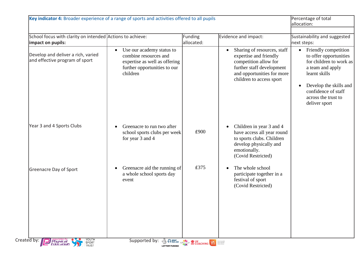| Key indicator 4: Broader experience of a range of sports and activities offered to all pupils |                                                                                                                                              |                              |                                                                                                                                                                                    | Percentage of total<br>allocation:                                                                                                                                                                                                |
|-----------------------------------------------------------------------------------------------|----------------------------------------------------------------------------------------------------------------------------------------------|------------------------------|------------------------------------------------------------------------------------------------------------------------------------------------------------------------------------|-----------------------------------------------------------------------------------------------------------------------------------------------------------------------------------------------------------------------------------|
| School focus with clarity on intended Actions to achieve:<br>impact on pupils:                |                                                                                                                                              | <b>Funding</b><br>allocated: | Evidence and impact:                                                                                                                                                               | Sustainability and suggested<br>next steps:                                                                                                                                                                                       |
| Develop and deliver a rich, varied<br>and effective program of sport                          | Use our academy status to<br>$\bullet$<br>combine resources and<br>expertise as well as offering<br>further opportunities to our<br>children |                              | Sharing of resources, staff<br>$\bullet$<br>expertise and friendly<br>competition allow for<br>further staff development<br>and opportunities for more<br>children to access sport | Friendly competition<br>$\bullet$<br>to offer opportunities<br>for children to work as<br>a team and apply<br>learnt skills<br>Develop the skills and<br>$\bullet$<br>confidence of staff<br>across the trust to<br>deliver sport |
| Year 3 and 4 Sports Clubs                                                                     | Greenacre to run two after<br>school sports clubs per week<br>for year 3 and 4                                                               | £900                         | Children in year 3 and 4<br>$\bullet$<br>have access all year round<br>to sports clubs. Children<br>develop physically and<br>emotionally.<br>(Covid Restricted)                   |                                                                                                                                                                                                                                   |
| <b>Greenacre Day of Sport</b>                                                                 | Greenacre aid the running of<br>a whole school sports day<br>event                                                                           | £375                         | The whole school<br>$\bullet$<br>participate together in a<br>festival of sport<br>(Covid Restricted)                                                                              |                                                                                                                                                                                                                                   |